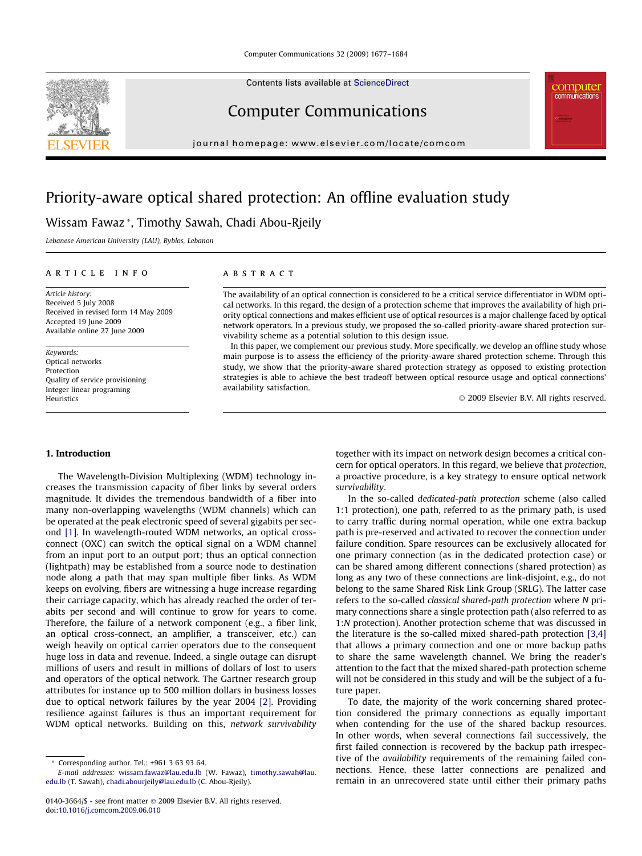Contents lists available at [ScienceDirect](http://www.sciencedirect.com/science/journal/01403664)

# Computer Communications

journal homepage: [www.elsevier.com/locate/comcom](http://www.elsevier.com/locate/comcom)

# Priority-aware optical shared protection: An offline evaluation study

# Wissam Fawaz \*, Timothy Sawah, Chadi Abou-Rjeily

Lebanese American University (LAU), Byblos, Lebanon

## article info

Article history: Received 5 July 2008 Received in revised form 14 May 2009 Accepted 19 June 2009 Available online 27 June 2009

Keywords: Optical networks Protection Quality of service provisioning Integer linear programing **Heuristics** 

# ABSTRACT

The availability of an optical connection is considered to be a critical service differentiator in WDM optical networks. In this regard, the design of a protection scheme that improves the availability of high priority optical connections and makes efficient use of optical resources is a major challenge faced by optical network operators. In a previous study, we proposed the so-called priority-aware shared protection survivability scheme as a potential solution to this design issue.

In this paper, we complement our previous study. More specifically, we develop an offline study whose main purpose is to assess the efficiency of the priority-aware shared protection scheme. Through this study, we show that the priority-aware shared protection strategy as opposed to existing protection strategies is able to achieve the best tradeoff between optical resource usage and optical connections' availability satisfaction.

© 2009 Elsevier B.V. All rights reserved.

computer communications

# 1. Introduction

The Wavelength-Division Multiplexing (WDM) technology increases the transmission capacity of fiber links by several orders magnitude. It divides the tremendous bandwidth of a fiber into many non-overlapping wavelengths (WDM channels) which can be operated at the peak electronic speed of several gigabits per second [\[1\]](#page-7-0). In wavelength-routed WDM networks, an optical crossconnect (OXC) can switch the optical signal on a WDM channel from an input port to an output port; thus an optical connection (lightpath) may be established from a source node to destination node along a path that may span multiple fiber links. As WDM keeps on evolving, fibers are witnessing a huge increase regarding their carriage capacity, which has already reached the order of terabits per second and will continue to grow for years to come. Therefore, the failure of a network component (e.g., a fiber link, an optical cross-connect, an amplifier, a transceiver, etc.) can weigh heavily on optical carrier operators due to the consequent huge loss in data and revenue. Indeed, a single outage can disrupt millions of users and result in millions of dollars of lost to users and operators of the optical network. The Gartner research group attributes for instance up to 500 million dollars in business losses due to optical network failures by the year 2004 [\[2\].](#page-7-0) Providing resilience against failures is thus an important requirement for WDM optical networks. Building on this, network survivability

together with its impact on network design becomes a critical concern for optical operators. In this regard, we believe that protection, a proactive procedure, is a key strategy to ensure optical network survivability.

In the so-called dedicated-path protection scheme (also called 1:1 protection), one path, referred to as the primary path, is used to carry traffic during normal operation, while one extra backup path is pre-reserved and activated to recover the connection under failure condition. Spare resources can be exclusively allocated for one primary connection (as in the dedicated protection case) or can be shared among different connections (shared protection) as long as any two of these connections are link-disjoint, e.g., do not belong to the same Shared Risk Link Group (SRLG). The latter case refers to the so-called classical shared-path protection where N primary connections share a single protection path (also referred to as 1:N protection). Another protection scheme that was discussed in the literature is the so-called mixed shared-path protection [\[3,4\]](#page-7-0) that allows a primary connection and one or more backup paths to share the same wavelength channel. We bring the reader's attention to the fact that the mixed shared-path protection scheme will not be considered in this study and will be the subject of a future paper.

To date, the majority of the work concerning shared protection considered the primary connections as equally important when contending for the use of the shared backup resources. In other words, when several connections fail successively, the first failed connection is recovered by the backup path irrespective of the availability requirements of the remaining failed connections. Hence, these latter connections are penalized and remain in an unrecovered state until either their primary paths



<sup>\*</sup> Corresponding author. Tel.: +961 3 63 93 64.

E-mail addresses: [wissam.fawaz@lau.edu.lb](mailto:wissam.fawaz@lau.edu.lb) (W. Fawaz), [timothy.sawah@lau.](mailto:timothy.sawah@lau. edu.lb) [edu.lb](mailto:timothy.sawah@lau. edu.lb) (T. Sawah), [chadi.abourjeily@lau.edu.lb](mailto:chadi.abourjeily@lau.edu.lb) (C. Abou-Rjeily).

<sup>0140-3664/\$ -</sup> see front matter © 2009 Elsevier B.V. All rights reserved. doi[:10.1016/j.comcom.2009.06.010](http://dx.doi.org/10.1016/j.comcom.2009.06.010)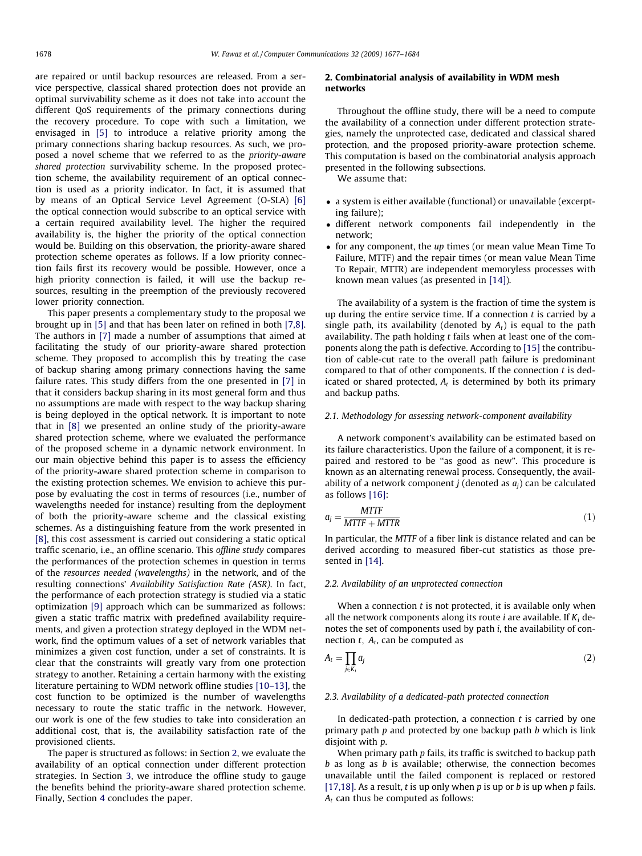<span id="page-1-0"></span>are repaired or until backup resources are released. From a service perspective, classical shared protection does not provide an optimal survivability scheme as it does not take into account the different QoS requirements of the primary connections during the recovery procedure. To cope with such a limitation, we envisaged in [\[5\]](#page-7-0) to introduce a relative priority among the primary connections sharing backup resources. As such, we proposed a novel scheme that we referred to as the priority-aware shared protection survivability scheme. In the proposed protection scheme, the availability requirement of an optical connection is used as a priority indicator. In fact, it is assumed that by means of an Optical Service Level Agreement (O-SLA) [\[6\]](#page-7-0) the optical connection would subscribe to an optical service with a certain required availability level. The higher the required availability is, the higher the priority of the optical connection would be. Building on this observation, the priority-aware shared protection scheme operates as follows. If a low priority connection fails first its recovery would be possible. However, once a high priority connection is failed, it will use the backup resources, resulting in the preemption of the previously recovered lower priority connection.

This paper presents a complementary study to the proposal we brought up in [\[5\]](#page-7-0) and that has been later on refined in both [\[7,8\].](#page-7-0) The authors in [\[7\]](#page-7-0) made a number of assumptions that aimed at facilitating the study of our priority-aware shared protection scheme. They proposed to accomplish this by treating the case of backup sharing among primary connections having the same failure rates. This study differs from the one presented in [\[7\]](#page-7-0) in that it considers backup sharing in its most general form and thus no assumptions are made with respect to the way backup sharing is being deployed in the optical network. It is important to note that in [\[8\]](#page-7-0) we presented an online study of the priority-aware shared protection scheme, where we evaluated the performance of the proposed scheme in a dynamic network environment. In our main objective behind this paper is to assess the efficiency of the priority-aware shared protection scheme in comparison to the existing protection schemes. We envision to achieve this purpose by evaluating the cost in terms of resources (i.e., number of wavelengths needed for instance) resulting from the deployment of both the priority-aware scheme and the classical existing schemes. As a distinguishing feature from the work presented in [\[8\]](#page-7-0), this cost assessment is carried out considering a static optical traffic scenario, i.e., an offline scenario. This offline study compares the performances of the protection schemes in question in terms of the resources needed (wavelengths) in the network, and of the resulting connections' Availability Satisfaction Rate (ASR). In fact, the performance of each protection strategy is studied via a static optimization [\[9\]](#page-7-0) approach which can be summarized as follows: given a static traffic matrix with predefined availability requirements, and given a protection strategy deployed in the WDM network, find the optimum values of a set of network variables that minimizes a given cost function, under a set of constraints. It is clear that the constraints will greatly vary from one protection strategy to another. Retaining a certain harmony with the existing literature pertaining to WDM network offline studies [\[10–13\]](#page-7-0), the cost function to be optimized is the number of wavelengths necessary to route the static traffic in the network. However, our work is one of the few studies to take into consideration an additional cost, that is, the availability satisfaction rate of the provisioned clients.

The paper is structured as follows: in Section 2, we evaluate the availability of an optical connection under different protection strategies. In Section [3,](#page-2-0) we introduce the offline study to gauge the benefits behind the priority-aware shared protection scheme. Finally, Section [4](#page-7-0) concludes the paper.

# 2. Combinatorial analysis of availability in WDM mesh networks

Throughout the offline study, there will be a need to compute the availability of a connection under different protection strategies, namely the unprotected case, dedicated and classical shared protection, and the proposed priority-aware protection scheme. This computation is based on the combinatorial analysis approach presented in the following subsections.

We assume that:

- a system is either available (functional) or unavailable (excerpting failure);
- different network components fail independently in the network;
- for any component, the up times (or mean value Mean Time To Failure, MTTF) and the repair times (or mean value Mean Time To Repair, MTTR) are independent memoryless processes with known mean values (as presented in [\[14\]\)](#page-7-0).

The availability of a system is the fraction of time the system is up during the entire service time. If a connection  $t$  is carried by a single path, its availability (denoted by  $A_t$ ) is equal to the path availability. The path holding  $t$  fails when at least one of the components along the path is defective. According to [\[15\]](#page-7-0) the contribution of cable-cut rate to the overall path failure is predominant compared to that of other components. If the connection  $t$  is dedicated or shared protected,  $A_t$  is determined by both its primary and backup paths.

#### 2.1. Methodology for assessing network-component availability

A network component's availability can be estimated based on its failure characteristics. Upon the failure of a component, it is repaired and restored to be ''as good as new". This procedure is known as an alternating renewal process. Consequently, the availability of a network component *j* (denoted as  $a_i$ ) can be calculated as follows [\[16\]:](#page-7-0)

$$
a_j = \frac{MTTF}{MTTF + MTTR} \tag{1}
$$

In particular, the MTTF of a fiber link is distance related and can be derived according to measured fiber-cut statistics as those presented in [\[14\]](#page-7-0).

## 2.2. Availability of an unprotected connection

When a connection  $t$  is not protected, it is available only when all the network components along its route  $i$  are available. If  $K_i$  denotes the set of components used by path i, the availability of connection  $t$ ,  $A_t$ , can be computed as

$$
A_t = \prod_{j \in K_i} a_j \tag{2}
$$

#### 2.3. Availability of a dedicated-path protected connection

In dedicated-path protection, a connection  $t$  is carried by one primary path  $p$  and protected by one backup path  $b$  which is link disjoint with p.

When primary path p fails, its traffic is switched to backup path  $b$  as long as  $b$  is available; otherwise, the connection becomes unavailable until the failed component is replaced or restored [\[17,18\].](#page-7-0) As a result,  $t$  is up only when  $p$  is up or  $b$  is up when  $p$  fails.  $A_t$  can thus be computed as follows: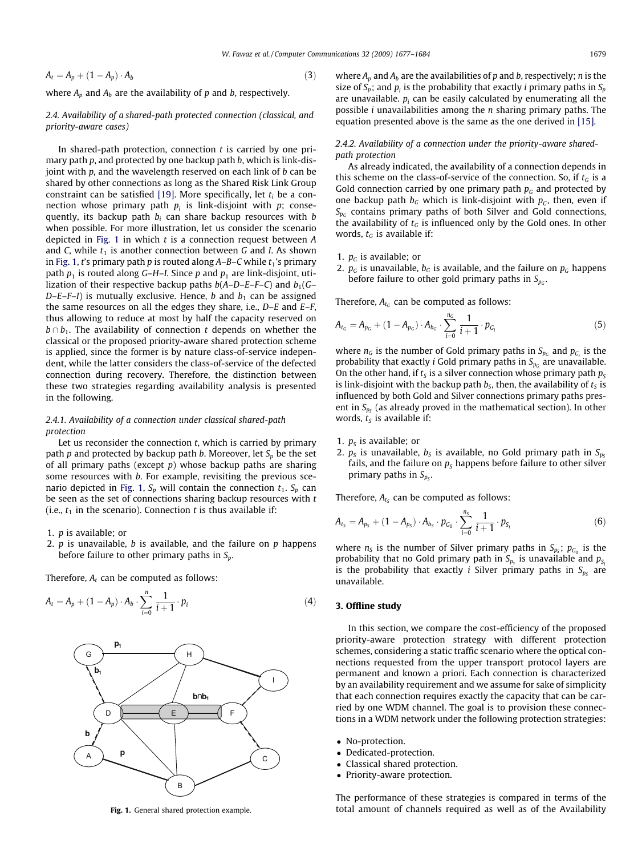<span id="page-2-0"></span>
$$
A_t = A_p + (1 - A_p) \cdot A_b \tag{3}
$$

where  $A_n$  and  $A_b$  are the availability of p and b, respectively.

2.4. Availability of a shared-path protected connection (classical, and priority-aware cases)

In shared-path protection, connection  $t$  is carried by one primary path p, and protected by one backup path b, which is link-disjoint with  $p$ , and the wavelength reserved on each link of  $b$  can be shared by other connections as long as the Shared Risk Link Group constraint can be satisfied [\[19\].](#page-7-0) More specifically, let  $t_i$  be a connection whose primary path  $p_i$  is link-disjoint with  $p_i$ ; consequently, its backup path  $b_i$  can share backup resources with  $b$ when possible. For more illustration, let us consider the scenario depicted in Fig. 1 in which t is a connection request between A and C, while  $t_1$  is another connection between G and I. As shown in Fig. 1, t's primary path p is routed along  $A-B-C$  while  $t<sub>1</sub>$ 's primary path  $p_1$  is routed along G–H–I. Since p and  $p_1$  are link-disjoint, utilization of their respective backup paths  $b(A-D-E-F-C)$  and  $b_1(G-D-E-F-C)$  $D-E-F-I$ ) is mutually exclusive. Hence, b and  $b<sub>1</sub>$  can be assigned the same resources on all the edges they share, i.e., D–E and E–F, thus allowing to reduce at most by half the capacity reserved on  $b \cap b_1$ . The availability of connection t depends on whether the classical or the proposed priority-aware shared protection scheme is applied, since the former is by nature class-of-service independent, while the latter considers the class-of-service of the defected connection during recovery. Therefore, the distinction between these two strategies regarding availability analysis is presented in the following.

## 2.4.1. Availability of a connection under classical shared-path protection

Let us reconsider the connection  $t$ , which is carried by primary path p and protected by backup path b. Moreover, let  $S_p$  be the set of all primary paths (except  $p$ ) whose backup paths are sharing some resources with b. For example, revisiting the previous scenario depicted in Fig. 1,  $S_p$  will contain the connection  $t_1$ .  $S_p$  can be seen as the set of connections sharing backup resources with  $t$ (i.e.,  $t_1$  in the scenario). Connection  $t$  is thus available if:

- 1. p is available; or
- 2.  $p$  is unavailable,  $b$  is available, and the failure on  $p$  happens before failure to other primary paths in  $S_p$ .

Therefore,  $A_t$  can be computed as follows:

$$
A_{t} = A_{p} + (1 - A_{p}) \cdot A_{b} \cdot \sum_{i=0}^{n} \frac{1}{i+1} \cdot p_{i}
$$
 (4)



Fig. 1. General shared protection example.

where  $A_p$  and  $A_h$  are the availabilities of p and b, respectively; n is the size of  $S_p$ ; and  $p_i$  is the probability that exactly *i* primary paths in  $S_p$ are unavailable.  $p_i$  can be easily calculated by enumerating all the possible  $i$  unavailabilities among the  $n$  sharing primary paths. The equation presented above is the same as the one derived in [\[15\]](#page-7-0).

## 2.4.2. Availability of a connection under the priority-aware sharedpath protection

As already indicated, the availability of a connection depends in this scheme on the class-of-service of the connection. So, if  $t_G$  is a Gold connection carried by one primary path  $p<sub>G</sub>$  and protected by one backup path  $b_G$  which is link-disjoint with  $p_G$ , then, even if  $S_{p_G}$  contains primary paths of both Silver and Gold connections, the availability of  $t_G$  is influenced only by the Gold ones. In other words,  $t_G$  is available if:

- 1.  $p_G$  is available; or
- 2.  $p_G$  is unavailable,  $b_G$  is available, and the failure on  $p_G$  happens before failure to other gold primary paths in  $S_{p_G}$ .

Therefore,  $A_{tc}$  can be computed as follows:

$$
A_{t_G} = A_{p_G} + (1 - A_{p_G}) \cdot A_{b_G} \cdot \sum_{i=0}^{n_G} \frac{1}{i+1} \cdot p_{G_i}
$$
 (5)

where  $n_G$  is the number of Gold primary paths in  $S_{p_G}$  and  $p_{G_i}$  is the probability that exactly *i* Gold primary paths in  $S_{p_G}$  are unavailable. On the other hand, if  $t<sub>S</sub>$  is a silver connection whose primary path  $p<sub>S</sub>$ is link-disjoint with the backup path  $b<sub>S</sub>$ , then, the availability of  $t<sub>S</sub>$  is influenced by both Gold and Silver connections primary paths present in  $S_{p_S}$  (as already proved in the mathematical section). In other words,  $t<sub>S</sub>$  is available if:

- 1.  $p<sub>S</sub>$  is available; or
- 2.  $p_s$  is unavailable,  $b_s$  is available, no Gold primary path in  $S_{p_s}$ fails, and the failure on  $p_s$  happens before failure to other silver primary paths in  $S_{p<sub>s</sub>}$ .

Therefore,  $A_{t_S}$  can be computed as follows:

$$
A_{t_S} = A_{p_S} + (1 - A_{p_S}) \cdot A_{b_S} \cdot p_{G_0} \cdot \sum_{i=0}^{n_S} \frac{1}{i+1} \cdot p_{S_i}
$$
 (6)

where  $n<sub>S</sub>$  is the number of Silver primary paths in  $S_{p<sub>S</sub>}$ ;  $p<sub>G<sub>o</sub></sub>$  is the probability that no Gold primary path in  $S_{p_s}$  is unavailable and  $p_{s_s}$ is the probability that exactly *i* Silver primary paths in  $S_{p_s}$  are unavailable.

# 3. Offline study

In this section, we compare the cost-efficiency of the proposed priority-aware protection strategy with different protection schemes, considering a static traffic scenario where the optical connections requested from the upper transport protocol layers are permanent and known a priori. Each connection is characterized by an availability requirement and we assume for sake of simplicity that each connection requires exactly the capacity that can be carried by one WDM channel. The goal is to provision these connections in a WDM network under the following protection strategies:

- No-protection.
- -Dedicated-protection.
- -Classical shared protection.
- Priority-aware protection.

The performance of these strategies is compared in terms of the total amount of channels required as well as of the Availability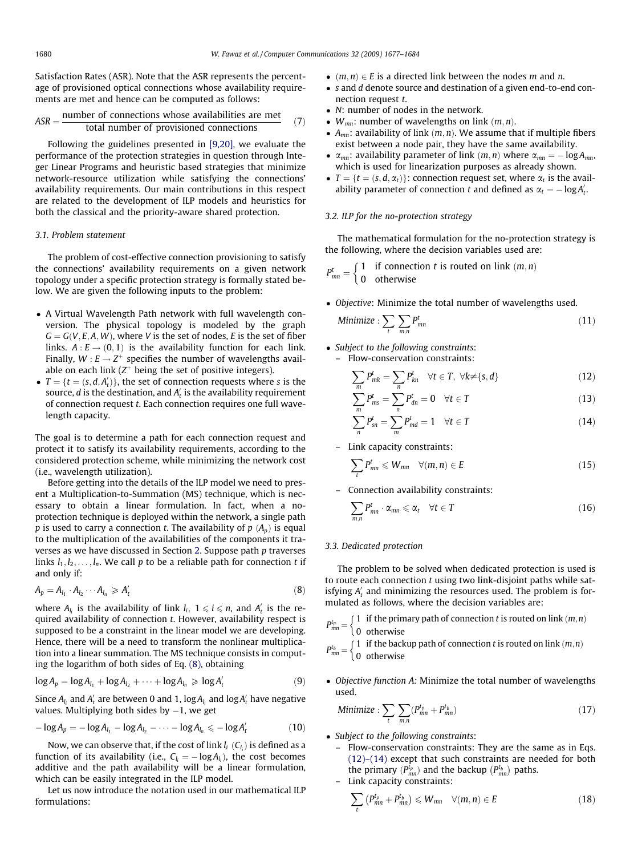<span id="page-3-0"></span>Satisfaction Rates (ASR). Note that the ASR represents the percentage of provisioned optical connections whose availability requirements are met and hence can be computed as follows:

$$
ASR = \frac{\text{number of connections whose availability are met}}{\text{total number of provisional connections}} \tag{7}
$$

Following the guidelines presented in [\[9,20\]](#page-7-0), we evaluate the performance of the protection strategies in question through Integer Linear Programs and heuristic based strategies that minimize network-resource utilization while satisfying the connections' availability requirements. Our main contributions in this respect are related to the development of ILP models and heuristics for both the classical and the priority-aware shared protection.

## 3.1. Problem statement

The problem of cost-effective connection provisioning to satisfy the connections' availability requirements on a given network topology under a specific protection strategy is formally stated below. We are given the following inputs to the problem:

- A Virtual Wavelength Path network with full wavelength conversion. The physical topology is modeled by the graph  $G = G(V, E, A, W)$ , where V is the set of nodes, E is the set of fiber links.  $A : E \rightarrow (0, 1)$  is the availability function for each link. Finally,  $W : E \to Z^+$  specifies the number of wavelengths available on each link  $(Z^+)$  being the set of positive integers).
- $T = \{t = (s, d, A'_t)\}\$ , the set of connection requests where s is the source,  $d$  is the destination, and  $A_t^\prime$  is the availability requirement of connection request t. Each connection requires one full wavelength capacity.

The goal is to determine a path for each connection request and protect it to satisfy its availability requirements, according to the considered protection scheme, while minimizing the network cost (i.e., wavelength utilization).

Before getting into the details of the ILP model we need to present a Multiplication-to-Summation (MS) technique, which is necessary to obtain a linear formulation. In fact, when a noprotection technique is deployed within the network, a single path p is used to carry a connection t. The availability of  $p(A_n)$  is equal to the multiplication of the availabilities of the components it traverses as we have discussed in Section [2](#page-1-0). Suppose path p traverses links  $l_1, l_2, \ldots, l_n$ . We call p to be a reliable path for connection t if and only if:

$$
A_p = A_{l_1} \cdot A_{l_2} \cdots A_{l_n} \geqslant A'_t \tag{8}
$$

where  $A_{l_i}$  is the availability of link  $l_i$ ,  $1 \leqslant i \leqslant n$ , and  $A_t$  is the required availability of connection t. However, availability respect is supposed to be a constraint in the linear model we are developing. Hence, there will be a need to transform the nonlinear multiplication into a linear summation. The MS technique consists in computing the logarithm of both sides of Eq. (8), obtaining

$$
\log A_p = \log A_{l_1} + \log A_{l_2} + \cdots + \log A_{l_n} \geqslant \log A'_t \tag{9}
$$

Since  $A_{l_i}$  and  $A_t'$  are between 0 and 1, log $A_{l_i}$  and log $A_t'$  have negative values. Multiplying both sides by  $-1$ , we get

$$
-\log A_p = -\log A_{l_1} - \log A_{l_2} - \cdots - \log A_{l_n} \leqslant -\log A'_t \qquad (10)
$$

Now, we can observe that, if the cost of link  $l_i\,\, (C_{l_i})$  is defined as a function of its availability (i.e.,  $C_{l_i} = -\log A_{l_i}$ ), the cost becomes additive and the path availability will be a linear formulation, which can be easily integrated in the ILP model.

Let us now introduce the notation used in our mathematical ILP formulations:

- $(m, n) \in E$  is a directed link between the nodes m and n.
- s and *d* denote source and destination of a given end-to-end connection request t.
- *N*: number of nodes in the network.
- $W_{mn}$ : number of wavelengths on link  $(m, n)$ .
- $A_{mn}$ : availability of link  $(m, n)$ . We assume that if multiple fibers exist between a node pair, they have the same availability.
- $\alpha_{mn}$ : availability parameter of link  $(m, n)$  where  $\alpha_{mn} = -\log A_{mn}$ , which is used for linearization purposes as already shown.
- $T = \{t = (s, d, \alpha_t)\}\$ : connection request set, where  $\alpha_t$  is the availability parameter of connection t and defined as  $\alpha_t = -\log A'_t$ .

## 3.2. ILP for the no-protection strategy

The mathematical formulation for the no-protection strategy is the following, where the decision variables used are:

$$
P_{mn}^t = \begin{cases} 1 & \text{if connection } t \text{ is routed on link } (m, n) \\ 0 & \text{otherwise} \end{cases}
$$

• Objective: Minimize the total number of wavelengths used.

$$
Minimize: \sum_{t} \sum_{m,n} P_{mn}^{t}
$$
 (11)

- Subject to the following constraints:
- Flow-conservation constraints:

$$
\sum_{m} P_{mk}^{t} = \sum_{n} P_{kn}^{t} \quad \forall t \in T, \ \forall k \neq \{s, d\}
$$
 (12)

$$
\sum_{m} P_{ms}^{t} = \sum_{n} P_{dn}^{t} = 0 \quad \forall t \in T
$$
\n(13)

$$
\sum_{n} P_{sn}^{t} = \sum_{m} P_{md}^{t} = 1 \quad \forall t \in T
$$
\n(14)

– Link capacity constraints:

$$
\sum_{t} P_{mn}^{t} \leqslant W_{mn} \quad \forall (m, n) \in E \tag{15}
$$

– Connection availability constraints:

$$
\sum_{m,n} P_{mn}^t \cdot \alpha_{mn} \leq \alpha_t \quad \forall t \in T \tag{16}
$$

## 3.3. Dedicated protection

The problem to be solved when dedicated protection is used is to route each connection  $t$  using two link-disjoint paths while satisfying  $A_t'$  and minimizing the resources used. The problem is formulated as follows, where the decision variables are:

 $P_{mn}^{t_p} = \begin{cases} 1 & \text{if the primary path of connection } t \text{ is routed on link } (m, n) \\ 0 & \text{otherwise} \end{cases}$ 

 $P_{mn}^{t_b} = \begin{cases} 1 & \text{if the backup path of connection } t \text{ is routed on link } (m, n) \\ 0 & \text{otherwise} \end{cases}$ 

• Objective function A: Minimize the total number of wavelengths used.

Minimize: 
$$
\sum_{t} \sum_{m,n} (P_{mn}^{t_p} + P_{mn}^{t_b})
$$
 (17)

- Subject to the following constraints:
	- Flow-conservation constraints: They are the same as in Eqs. (12)–(14) except that such constraints are needed for both the primary  $(P_{mn}^{t_p})$  and the backup  $(P_{mn}^{t_b})$  paths.
	- Link capacity constraints:

$$
\sum_{t} \left( P_{mn}^{t_p} + P_{mn}^{t_b} \right) \leqslant W_{mn} \quad \forall (m, n) \in E \tag{18}
$$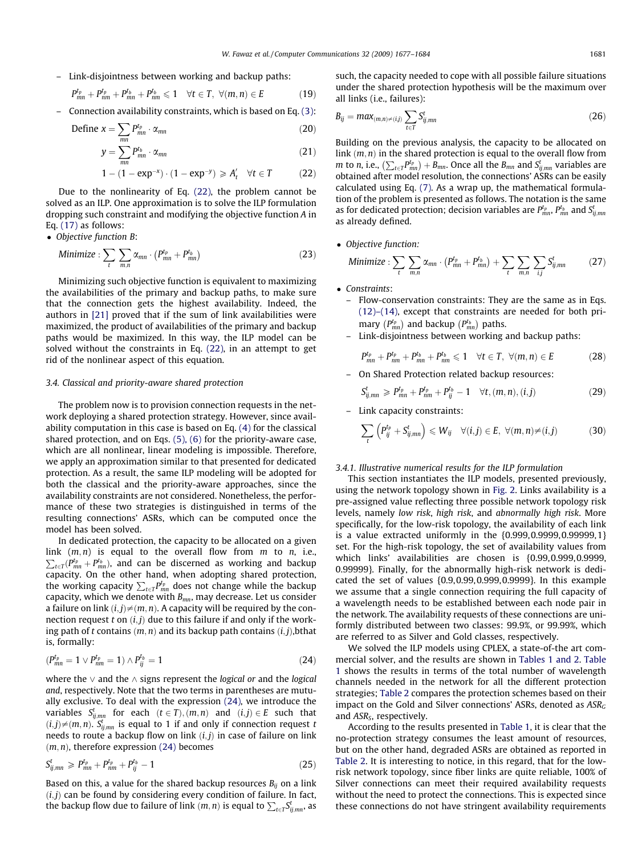– Link-disjointness between working and backup paths:

$$
P_{mn}^{t_p} + P_{nm}^{t_p} + P_{mn}^{t_b} + P_{nm}^{t_b} \leq 1 \quad \forall t \in T, \ \forall (m, n) \in E \tag{19}
$$

– Connection availability constraints, which is based on Eq. [\(3\):](#page-1-0)

Define 
$$
x = \sum_{mn} P_{mn}^{t_p} \cdot \alpha_{mn}
$$
 (20)

$$
y = \sum_{mn} P_{mn}^{t_b} \cdot \alpha_{mn} \tag{21}
$$

$$
1-(1-exp^{-x})\cdot(1-exp^{-y})\geqslant A'_t\quad \forall t\in T\qquad \quad (22)
$$

Due to the nonlinearity of Eq. (22), the problem cannot be solved as an ILP. One approximation is to solve the ILP formulation dropping such constraint and modifying the objective function A in Eq. [\(17\)](#page-3-0) as follows:

- Objective function B:

Minimize: 
$$
\sum_{t} \sum_{m,n} \alpha_{mn} \cdot (P_{mn}^{t_p} + P_{mn}^{t_b})
$$
 (23)

Minimizing such objective function is equivalent to maximizing the availabilities of the primary and backup paths, to make sure that the connection gets the highest availability. Indeed, the authors in [\[21\]](#page-7-0) proved that if the sum of link availabilities were maximized, the product of availabilities of the primary and backup paths would be maximized. In this way, the ILP model can be solved without the constraints in Eq. (22), in an attempt to get rid of the nonlinear aspect of this equation.

## 3.4. Classical and priority-aware shared protection

The problem now is to provision connection requests in the network deploying a shared protection strategy. However, since availability computation in this case is based on Eq. [\(4\)](#page-2-0) for the classical shared protection, and on Eqs. [\(5\), \(6\)](#page-2-0) for the priority-aware case, which are all nonlinear, linear modeling is impossible. Therefore, we apply an approximation similar to that presented for dedicated protection. As a result, the same ILP modeling will be adopted for both the classical and the priority-aware approaches, since the availability constraints are not considered. Nonetheless, the performance of these two strategies is distinguished in terms of the resulting connections' ASRs, which can be computed once the model has been solved.

In dedicated protection, the capacity to be allocated on a given link  $(m, n)$  is equal to the overall flow from  $m$  to  $n$ , i.e.,  $\sum_{t \in T} (P_{mn}^{t_p} + P_{mn}^{t_b})$ , and can be discerned as working and backup capacity. On the other hand, when adopting shared protection, the working capacity  $\sum_{t \in T} P_{mn}^{t_p}$  does not change while the backup capacity, which we denote with  $B_{mn}$ , may decrease. Let us consider a failure on link  $(i, j) \neq (m, n)$ . A capacity will be required by the connection request t on  $(i, j)$  due to this failure if and only if the working path of t contains  $(m, n)$  and its backup path contains  $(i, j)$ , bthat is, formally:

$$
(P_{mn}^{t_p} = 1 \vee P_{nm}^{t_p} = 1) \wedge P_{ij}^{t_b} = 1 \tag{24}
$$

where the  $\vee$  and the  $\wedge$  signs represent the logical or and the logical and, respectively. Note that the two terms in parentheses are mutually exclusive. To deal with the expression (24), we introduce the variables  $S_{ij,mn}^t$  for each  $(t \in T)$ , $(m,n)$  and  $(i,j) \in E$  such that  $(i, j) \neq (m, n)$ .  $S_{ij,mn}^t$  is equal to 1 if and only if connection request t needs to route a backup flow on link  $(i, j)$  in case of failure on link  $(m, n)$ , therefore expression (24) becomes

$$
S_{ij,mn}^t \ge P_{mn}^{t_p} + P_{nm}^{t_p} + P_{ij}^{t_b} - 1
$$
\n(25)

Based on this, a value for the shared backup resources  $B_{ii}$  on a link  $(i, j)$  can be found by considering every condition of failure. In fact, the backup flow due to failure of link  $(m, n)$  is equal to  $\sum_{t \in T} S_{ij,mn}^t$ , as

such, the capacity needed to cope with all possible failure situations under the shared protection hypothesis will be the maximum over all links (i.e., failures):

$$
B_{ij} = max_{(m,n)\neq(i,j)} \sum_{t \in T} S_{ij,mn}^t
$$
 (26)

Building on the previous analysis, the capacity to be allocated on link  $(m, n)$  in the shared protection is equal to the overall flow from m to n, i.e.,  $(\sum_{t \in T} P_{mn}^{t_p}) + B_{mn}$ . Once all the  $B_{mn}$  and  $S_{ij,mn}^{t}$  variables are obtained after model resolution, the connections' ASRs can be easily calculated using Eq. [\(7\)](#page-3-0). As a wrap up, the mathematical formulation of the problem is presented as follows. The notation is the same as for dedicated protection; decision variables are  $P_{mn}^{t_p}$ ,  $P_{mn}^{t_b}$  and  $S_{ij,mn}^{t}$ as already defined.

• Objective function:

$$
Minimize: \sum_{t} \sum_{m,n} \alpha_{mn} \cdot (P_{mn}^{t_p} + P_{mn}^{t_b}) + \sum_{t} \sum_{m,n} \sum_{i,j} S_{ij,mn}^{t} \qquad (27)
$$

- Constraints:
	- Flow-conservation constraints: They are the same as in Eqs. [\(12\)–\(14\),](#page-3-0) except that constraints are needed for both primary  $(P_{mn}^{t_p})$  and backup  $(P_{mn}^{t_b})$  paths.
	- Link-disjointness between working and backup paths:

$$
P_{mn}^{t_p} + P_{nm}^{t_p} + P_{mn}^{t_b} + P_{nm}^{t_b} \leq 1 \quad \forall t \in T, \ \forall (m, n) \in E \tag{28}
$$

– On Shared Protection related backup resources:

$$
S_{ij,mn}^t \ge P_{mn}^{t_p} + P_{nm}^{t_p} + P_{ij}^{t_b} - 1 \quad \forall t, (m,n), (i,j)
$$
 (29)

– Link capacity constraints:

$$
\sum_{t} \left( P_{ij}^{t_p} + S_{ij,mn}^{t} \right) \leq W_{ij} \quad \forall (i,j) \in E, \ \forall (m,n) \neq (i,j)
$$
 (30)

## 3.4.1. Illustrative numerical results for the ILP formulation

This section instantiates the ILP models, presented previously, using the network topology shown in [Fig. 2.](#page-5-0) Links availability is a pre-assigned value reflecting three possible network topology risk levels, namely low risk, high risk, and abnormally high risk. More specifically, for the low-risk topology, the availability of each link is a value extracted uniformly in the {0.999,0.9999,0.99999,1} set. For the high-risk topology, the set of availability values from which links' availabilities are chosen is  ${0.99, 0.999, 0.9999}$ , 0.99999}. Finally, for the abnormally high-risk network is dedicated the set of values {0.9,0.99,0.999,0.9999}. In this example we assume that a single connection requiring the full capacity of a wavelength needs to be established between each node pair in the network. The availability requests of these connections are uniformly distributed between two classes: 99.9%, or 99.99%, which are referred to as Silver and Gold classes, respectively.

We solved the ILP models using CPLEX, a state-of-the art commercial solver, and the results are shown in [Tables 1 and 2.](#page-5-0) [Table](#page-5-0) [1](#page-5-0) shows the results in terms of the total number of wavelength channels needed in the network for all the different protection strategies; [Table 2](#page-5-0) compares the protection schemes based on their impact on the Gold and Silver connections' ASRs, denoted as  $ASR_G$ and  $ASR<sub>S</sub>$ , respectively.

According to the results presented in [Table 1,](#page-5-0) it is clear that the no-protection strategy consumes the least amount of resources, but on the other hand, degraded ASRs are obtained as reported in [Table 2](#page-5-0). It is interesting to notice, in this regard, that for the lowrisk network topology, since fiber links are quite reliable, 100% of Silver connections can meet their required availability requests without the need to protect the connections. This is expected since these connections do not have stringent availability requirements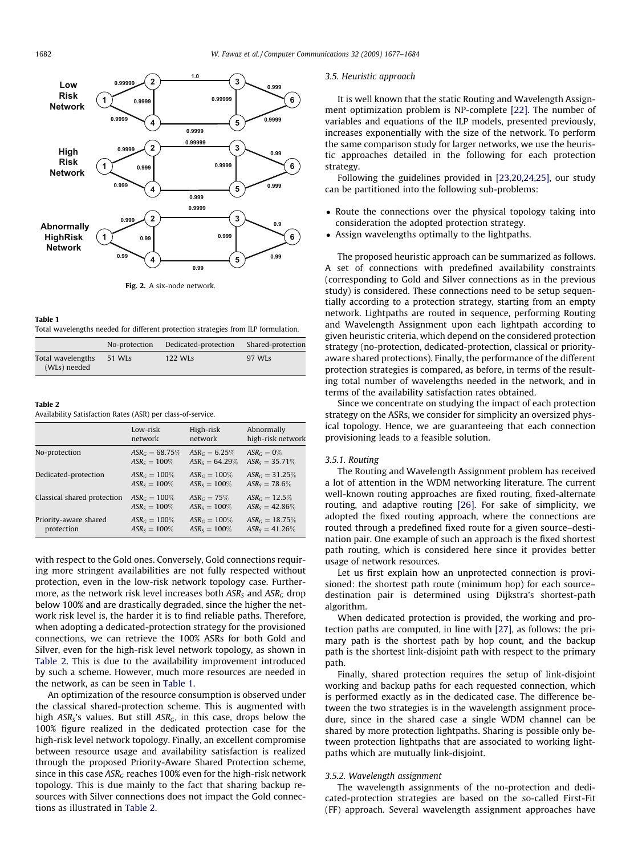<span id="page-5-0"></span>

#### Fig. 2. A six-node network.

## Table 1

Total wavelengths needed for different protection strategies from ILP formulation.

|                                   | No-protection | Dedicated-protection | Shared-protection |
|-----------------------------------|---------------|----------------------|-------------------|
| Total wavelengths<br>(WLs) needed | 51 WLs        | 122 W <sub>LS</sub>  | 97 WLS            |

#### Table 2

Availability Satisfaction Rates (ASR) per class-of-service.

|                             | Low-risk          | High-risk         | Abnormally        |
|-----------------------------|-------------------|-------------------|-------------------|
|                             | network           | network           | high-risk network |
| No-protection               | $ASR_C = 68.75\%$ | $ASR_C = 6.25\%$  | $ASR_G = 0\%$     |
|                             | $ASR_S = 100\%$   | $ASR_S = 64.29\%$ | $ASR_s = 35.71\%$ |
| Dedicated-protection        | $ASR_C = 100\%$   | $ASR_C = 100\%$   | $ASRC = 31.25%$   |
|                             | $ASR_s = 100\%$   | $ASR_S = 100\%$   | $ASR_s = 78.6\%$  |
| Classical shared protection | $ASR_C = 100\%$   | $ASRG = 75%$      | $ASR_C = 12.5\%$  |
|                             | $ASR_S = 100\%$   | $ASR_S = 100\%$   | $ASR_S = 42.86\%$ |
| Priority-aware shared       | $ASR_C = 100\%$   | $ASR_C = 100\%$   | $ASR_C = 18.75\%$ |
| protection                  | $ASR_S = 100\%$   | $ASR_S = 100\%$   | $ASR_S = 41.26\%$ |

with respect to the Gold ones. Conversely, Gold connections requiring more stringent availabilities are not fully respected without protection, even in the low-risk network topology case. Furthermore, as the network risk level increases both  $ASR<sub>S</sub>$  and  $ASR<sub>C</sub>$  drop below 100% and are drastically degraded, since the higher the network risk level is, the harder it is to find reliable paths. Therefore, when adopting a dedicated-protection strategy for the provisioned connections, we can retrieve the 100% ASRs for both Gold and Silver, even for the high-risk level network topology, as shown in Table 2. This is due to the availability improvement introduced by such a scheme. However, much more resources are needed in the network, as can be seen in Table 1.

An optimization of the resource consumption is observed under the classical shared-protection scheme. This is augmented with high  $ASR<sub>S</sub>$ 's values. But still  $ASR<sub>G</sub>$ , in this case, drops below the 100% figure realized in the dedicated protection case for the high-risk level network topology. Finally, an excellent compromise between resource usage and availability satisfaction is realized through the proposed Priority-Aware Shared Protection scheme, since in this case  $ASR<sub>G</sub>$  reaches 100% even for the high-risk network topology. This is due mainly to the fact that sharing backup resources with Silver connections does not impact the Gold connections as illustrated in Table 2.

#### 3.5. Heuristic approach

It is well known that the static Routing and Wavelength Assignment optimization problem is NP-complete [\[22\].](#page-7-0) The number of variables and equations of the ILP models, presented previously, increases exponentially with the size of the network. To perform the same comparison study for larger networks, we use the heuristic approaches detailed in the following for each protection strategy.

Following the guidelines provided in [\[23,20,24,25\],](#page-7-0) our study can be partitioned into the following sub-problems:

- Route the connections over the physical topology taking into consideration the adopted protection strategy.
- Assign wavelengths optimally to the lightpaths.

The proposed heuristic approach can be summarized as follows. A set of connections with predefined availability constraints (corresponding to Gold and Silver connections as in the previous study) is considered. These connections need to be setup sequentially according to a protection strategy, starting from an empty network. Lightpaths are routed in sequence, performing Routing and Wavelength Assignment upon each lightpath according to given heuristic criteria, which depend on the considered protection strategy (no-protection, dedicated-protection, classical or priorityaware shared protections). Finally, the performance of the different protection strategies is compared, as before, in terms of the resulting total number of wavelengths needed in the network, and in terms of the availability satisfaction rates obtained.

Since we concentrate on studying the impact of each protection strategy on the ASRs, we consider for simplicity an oversized physical topology. Hence, we are guaranteeing that each connection provisioning leads to a feasible solution.

#### 3.5.1. Routing

The Routing and Wavelength Assignment problem has received a lot of attention in the WDM networking literature. The current well-known routing approaches are fixed routing, fixed-alternate routing, and adaptive routing [\[26\]](#page-7-0). For sake of simplicity, we adopted the fixed routing approach, where the connections are routed through a predefined fixed route for a given source–destination pair. One example of such an approach is the fixed shortest path routing, which is considered here since it provides better usage of network resources.

Let us first explain how an unprotected connection is provisioned: the shortest path route (minimum hop) for each source– destination pair is determined using Dijkstra's shortest-path algorithm.

When dedicated protection is provided, the working and protection paths are computed, in line with [\[27\],](#page-7-0) as follows: the primary path is the shortest path by hop count, and the backup path is the shortest link-disjoint path with respect to the primary path.

Finally, shared protection requires the setup of link-disjoint working and backup paths for each requested connection, which is performed exactly as in the dedicated case. The difference between the two strategies is in the wavelength assignment procedure, since in the shared case a single WDM channel can be shared by more protection lightpaths. Sharing is possible only between protection lightpaths that are associated to working lightpaths which are mutually link-disjoint.

#### 3.5.2. Wavelength assignment

The wavelength assignments of the no-protection and dedicated-protection strategies are based on the so-called First-Fit (FF) approach. Several wavelength assignment approaches have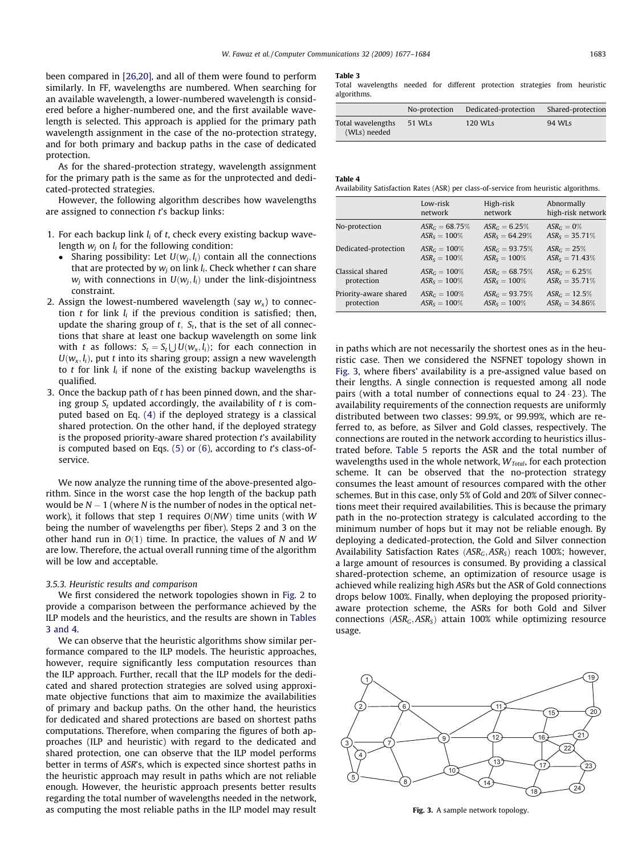been compared in [\[26,20\],](#page-7-0) and all of them were found to perform similarly. In FF, wavelengths are numbered. When searching for an available wavelength, a lower-numbered wavelength is considered before a higher-numbered one, and the first available wavelength is selected. This approach is applied for the primary path wavelength assignment in the case of the no-protection strategy, and for both primary and backup paths in the case of dedicated protection.

As for the shared-protection strategy, wavelength assignment for the primary path is the same as for the unprotected and dedicated-protected strategies.

However, the following algorithm describes how wavelengths are assigned to connection t's backup links:

- 1. For each backup link  $l_i$  of t, check every existing backup wavelength  $w_i$  on  $l_i$  for the following condition:
	- Sharing possibility: Let  $U(w_j, l_i)$  contain all the connections that are protected by  $w_i$  on link  $l_i$ . Check whether t can share  $w_i$  with connections in  $U(w_i, l_i)$  under the link-disjointness constraint.
- 2. Assign the lowest-numbered wavelength (say  $w_x$ ) to connection t for link  $l_i$  if the previous condition is satisfied; then, update the sharing group of  $t$ ,  $S_t$ , that is the set of all connections that share at least one backup wavelength on some link with t as follows:  $S_t = S_t \cup U(w_x, l_i)$ ; for each connection in  $U(w_x, l_i)$ , put t into its sharing group; assign a new wavelength to t for link  $l_i$  if none of the existing backup wavelengths is qualified.
- 3. Once the backup path of  $t$  has been pinned down, and the sharing group  $S_t$  updated accordingly, the availability of t is computed based on Eq. [\(4\)](#page-2-0) if the deployed strategy is a classical shared protection. On the other hand, if the deployed strategy is the proposed priority-aware shared protection  $t$ 's availability is computed based on Eqs.  $(5)$  or  $(6)$ , according to t's class-ofservice.

We now analyze the running time of the above-presented algorithm. Since in the worst case the hop length of the backup path would be  $N - 1$  (where N is the number of nodes in the optical network), it follows that step 1 requires  $O(NW)$  time units (with W being the number of wavelengths per fiber). Steps 2 and 3 on the other hand run in  $O(1)$  time. In practice, the values of N and W are low. Therefore, the actual overall running time of the algorithm will be low and acceptable.

#### 3.5.3. Heuristic results and comparison

We first considered the network topologies shown in [Fig. 2](#page-5-0) to provide a comparison between the performance achieved by the ILP models and the heuristics, and the results are shown in Tables 3 and 4.

We can observe that the heuristic algorithms show similar performance compared to the ILP models. The heuristic approaches, however, require significantly less computation resources than the ILP approach. Further, recall that the ILP models for the dedicated and shared protection strategies are solved using approximate objective functions that aim to maximize the availabilities of primary and backup paths. On the other hand, the heuristics for dedicated and shared protections are based on shortest paths computations. Therefore, when comparing the figures of both approaches (ILP and heuristic) with regard to the dedicated and shared protection, one can observe that the ILP model performs better in terms of ASR's, which is expected since shortest paths in the heuristic approach may result in paths which are not reliable enough. However, the heuristic approach presents better results regarding the total number of wavelengths needed in the network, as computing the most reliable paths in the ILP model may result

#### Table 3

Total wavelengths needed for different protection strategies from heuristic algorithms.

|                                   | No-protection | Dedicated-protection | Shared-protection  |
|-----------------------------------|---------------|----------------------|--------------------|
| Total wavelengths<br>(WLs) needed | 51 WLs        | 120 WLs              | 94 W <sub>LS</sub> |

Table 4

Availability Satisfaction Rates (ASR) per class-of-service from heuristic algorithms.

|                       | Low-risk          | High-risk         | Abnormally        |
|-----------------------|-------------------|-------------------|-------------------|
|                       | network           | network           | high-risk network |
| No-protection         | $ASR_C = 68.75\%$ | $ASR_C = 6.25\%$  | $ASR_G = 0\%$     |
|                       | $ASR_S = 100\%$   | $ASR_S = 64.29\%$ | $ASR_s = 35.71\%$ |
| Dedicated-protection  | $ASR_C = 100\%$   | $ASR_C = 93.75\%$ | $ASRG = 25%$      |
|                       | $ASR_S = 100\%$   | $ASR_s = 100\%$   | $ASR_S = 71.43\%$ |
| Classical shared      | $ASR_C = 100\%$   | $ASR_C = 68.75\%$ | $ASR_C = 6.25\%$  |
| protection            | $ASR_s = 100\%$   | $ASR_s = 100\%$   | $ASR_s = 35.71\%$ |
| Priority-aware shared | $ASR_C = 100\%$   | $ASR_G = 93.75\%$ | $ASR_C = 12.5\%$  |
| protection            | $ASR_S = 100\%$   | $ASR_S = 100\%$   | $ASR_s = 34.86\%$ |

in paths which are not necessarily the shortest ones as in the heuristic case. Then we considered the NSFNET topology shown in Fig. 3, where fibers' availability is a pre-assigned value based on their lengths. A single connection is requested among all node pairs (with a total number of connections equal to  $24 \cdot 23$ ). The availability requirements of the connection requests are uniformly distributed between two classes: 99.9%, or 99.99%, which are referred to, as before, as Silver and Gold classes, respectively. The connections are routed in the network according to heuristics illustrated before. [Table 5](#page-7-0) reports the ASR and the total number of wavelengths used in the whole network,  $W_{Total}$ , for each protection scheme. It can be observed that the no-protection strategy consumes the least amount of resources compared with the other schemes. But in this case, only 5% of Gold and 20% of Silver connections meet their required availabilities. This is because the primary path in the no-protection strategy is calculated according to the minimum number of hops but it may not be reliable enough. By deploying a dedicated-protection, the Gold and Silver connection Availability Satisfaction Rates  $(ASR_G, ASR_S)$  reach 100%; however, a large amount of resources is consumed. By providing a classical shared-protection scheme, an optimization of resource usage is achieved while realizing high ASRs but the ASR of Gold connections drops below 100%. Finally, when deploying the proposed priorityaware protection scheme, the ASRs for both Gold and Silver connections  $(ASR_G, ASR_S)$  attain 100% while optimizing resource usage.



Fig. 3. A sample network topology.